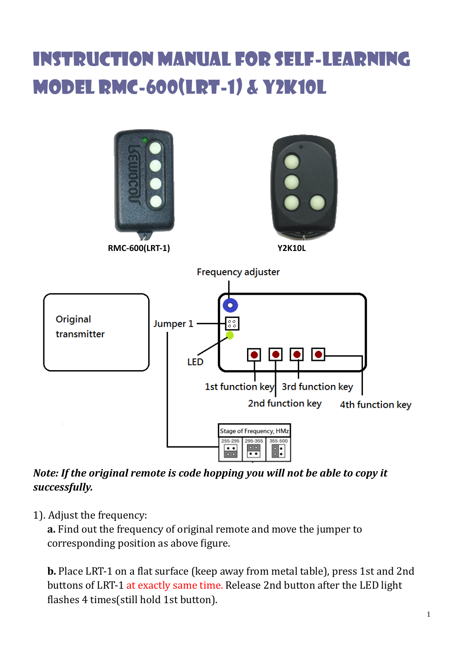## Instruction Manual for Self-learning model RMC-600(LRT-1) & Y2K10L



*Note: If the original remote is code hopping you will not be able to copy it successfully.*

1). Adjust the frequency:

**a.** Find out the frequency of original remote and move the jumper to corresponding position as above figure.

**b.** Place LRT-1 on a flat surface (keep away from metal table), press 1st and 2nd buttons of LRT-1 at exactly same time. Release 2nd button after the LED light flashes 4 times(still hold 1st button).